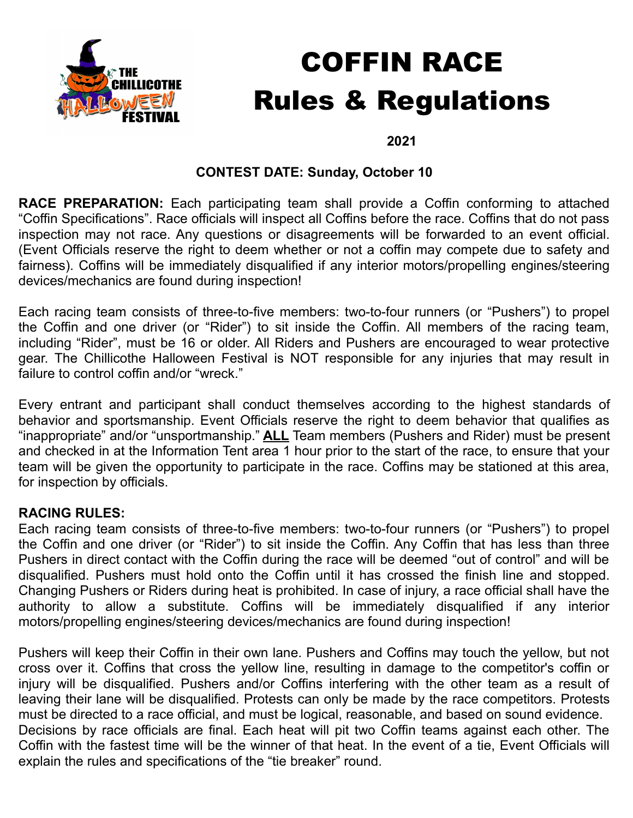

# COFFIN RACE Rules & Regulations

#### **2021**

## **CONTEST DATE: Sunday, October 10**

**RACE PREPARATION:** Each participating team shall provide a Coffin conforming to attached "Coffin Specifications". Race officials will inspect all Coffins before the race. Coffins that do not pass inspection may not race. Any questions or disagreements will be forwarded to an event official. (Event Officials reserve the right to deem whether or not a coffin may compete due to safety and fairness). Coffins will be immediately disqualified if any interior motors/propelling engines/steering devices/mechanics are found during inspection!

Each racing team consists of three-to-five members: two-to-four runners (or "Pushers") to propel the Coffin and one driver (or "Rider") to sit inside the Coffin. All members of the racing team, including "Rider", must be 16 or older. All Riders and Pushers are encouraged to wear protective gear. The Chillicothe Halloween Festival is NOT responsible for any injuries that may result in failure to control coffin and/or "wreck."

Every entrant and participant shall conduct themselves according to the highest standards of behavior and sportsmanship. Event Officials reserve the right to deem behavior that qualifies as "inappropriate" and/or "unsportmanship." **ALL** Team members (Pushers and Rider) must be present and checked in at the Information Tent area 1 hour prior to the start of the race, to ensure that your team will be given the opportunity to participate in the race. Coffins may be stationed at this area, for inspection by officials.

## **RACING RULES:**

Each racing team consists of three-to-five members: two-to-four runners (or "Pushers") to propel the Coffin and one driver (or "Rider") to sit inside the Coffin. Any Coffin that has less than three Pushers in direct contact with the Coffin during the race will be deemed "out of control" and will be disqualified. Pushers must hold onto the Coffin until it has crossed the finish line and stopped. Changing Pushers or Riders during heat is prohibited. In case of injury, a race official shall have the authority to allow a substitute. Coffins will be immediately disqualified if any interior motors/propelling engines/steering devices/mechanics are found during inspection!

Pushers will keep their Coffin in their own lane. Pushers and Coffins may touch the yellow, but not cross over it. Coffins that cross the yellow line, resulting in damage to the competitor's coffin or injury will be disqualified. Pushers and/or Coffins interfering with the other team as a result of leaving their lane will be disqualified. Protests can only be made by the race competitors. Protests must be directed to a race official, and must be logical, reasonable, and based on sound evidence. Decisions by race officials are final. Each heat will pit two Coffin teams against each other. The Coffin with the fastest time will be the winner of that heat. In the event of a tie, Event Officials will explain the rules and specifications of the "tie breaker" round.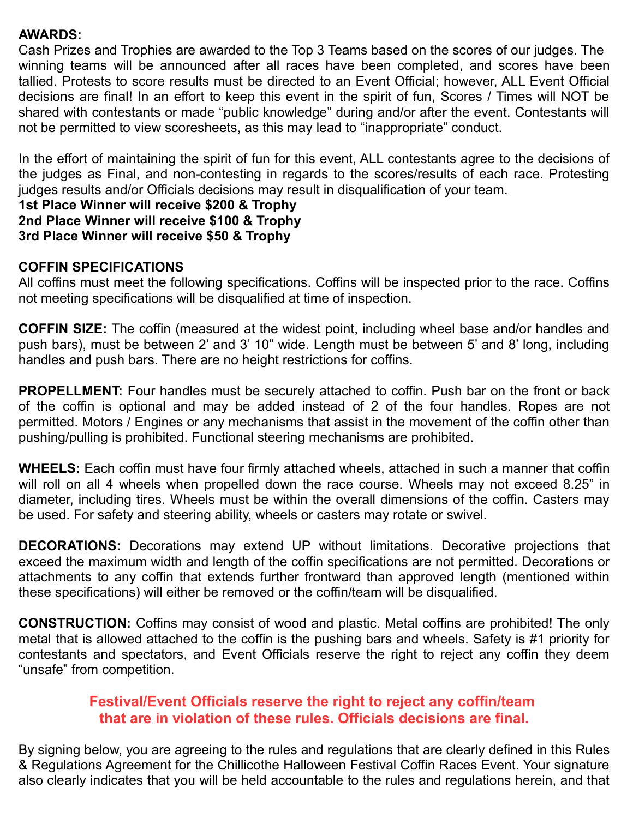#### **AWARDS:**

Cash Prizes and Trophies are awarded to the Top 3 Teams based on the scores of our judges. The winning teams will be announced after all races have been completed, and scores have been tallied. Protests to score results must be directed to an Event Official; however, ALL Event Official decisions are final! In an effort to keep this event in the spirit of fun, Scores / Times will NOT be shared with contestants or made "public knowledge" during and/or after the event. Contestants will not be permitted to view scoresheets, as this may lead to "inappropriate" conduct.

In the effort of maintaining the spirit of fun for this event, ALL contestants agree to the decisions of the judges as Final, and non-contesting in regards to the scores/results of each race. Protesting judges results and/or Officials decisions may result in disqualification of your team.

#### **1st Place Winner will receive \$200 & Trophy 2nd Place Winner will receive \$100 & Trophy 3rd Place Winner will receive \$50 & Trophy**

## **COFFIN SPECIFICATIONS**

All coffins must meet the following specifications. Coffins will be inspected prior to the race. Coffins not meeting specifications will be disqualified at time of inspection.

**COFFIN SIZE:** The coffin (measured at the widest point, including wheel base and/or handles and push bars), must be between 2' and 3' 10" wide. Length must be between 5' and 8' long, including handles and push bars. There are no height restrictions for coffins.

**PROPELLMENT:** Four handles must be securely attached to coffin. Push bar on the front or back of the coffin is optional and may be added instead of 2 of the four handles. Ropes are not permitted. Motors / Engines or any mechanisms that assist in the movement of the coffin other than pushing/pulling is prohibited. Functional steering mechanisms are prohibited.

**WHEELS:** Each coffin must have four firmly attached wheels, attached in such a manner that coffin will roll on all 4 wheels when propelled down the race course. Wheels may not exceed 8.25" in diameter, including tires. Wheels must be within the overall dimensions of the coffin. Casters may be used. For safety and steering ability, wheels or casters may rotate or swivel.

**DECORATIONS:** Decorations may extend UP without limitations. Decorative projections that exceed the maximum width and length of the coffin specifications are not permitted. Decorations or attachments to any coffin that extends further frontward than approved length (mentioned within these specifications) will either be removed or the coffin/team will be disqualified.

**CONSTRUCTION:** Coffins may consist of wood and plastic. Metal coffins are prohibited! The only metal that is allowed attached to the coffin is the pushing bars and wheels. Safety is #1 priority for contestants and spectators, and Event Officials reserve the right to reject any coffin they deem "unsafe" from competition.

## **Festival/Event Officials reserve the right to reject any coffin/team that are in violation of these rules. Officials decisions are final.**

By signing below, you are agreeing to the rules and regulations that are clearly defined in this Rules & Regulations Agreement for the Chillicothe Halloween Festival Coffin Races Event. Your signature also clearly indicates that you will be held accountable to the rules and regulations herein, and that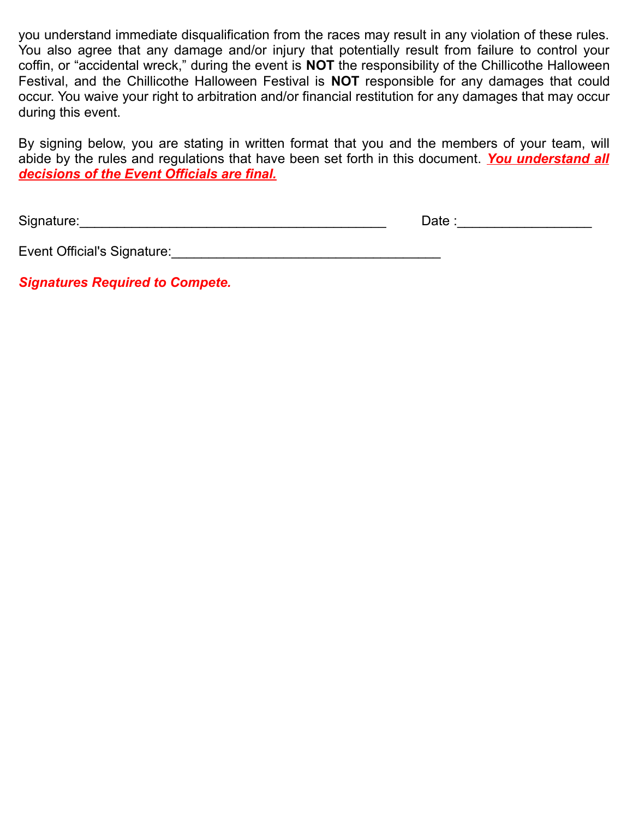you understand immediate disqualification from the races may result in any violation of these rules. You also agree that any damage and/or injury that potentially result from failure to control your coffin, or "accidental wreck," during the event is **NOT** the responsibility of the Chillicothe Halloween Festival, and the Chillicothe Halloween Festival is **NOT** responsible for any damages that could occur. You waive your right to arbitration and/or financial restitution for any damages that may occur during this event.

By signing below, you are stating in written format that you and the members of your team, will abide by the rules and regulations that have been set forth in this document. *You understand all decisions of the Event Officials are final.*

Signature:\_\_\_\_\_\_\_\_\_\_\_\_\_\_\_\_\_\_\_\_\_\_\_\_\_\_\_\_\_\_\_\_\_\_\_\_\_\_\_\_\_ Date :\_\_\_\_\_\_\_\_\_\_\_\_\_\_\_\_\_\_

| Event Official's Signature: |  |
|-----------------------------|--|
|-----------------------------|--|

*Signatures Required to Compete.*